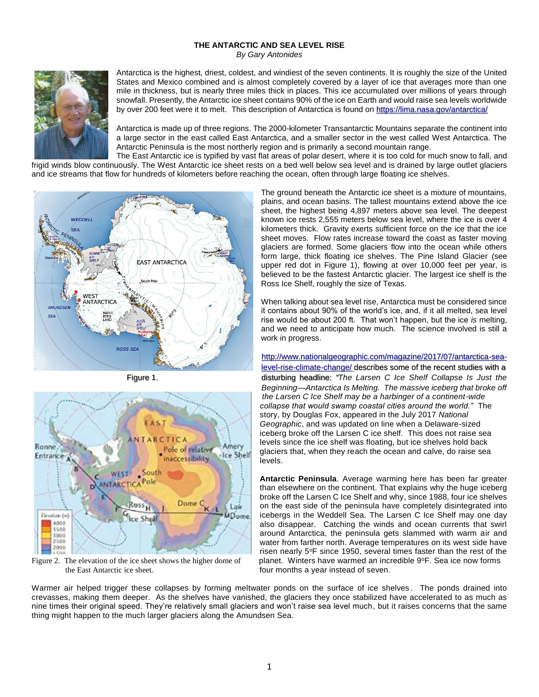## **THE ANTARCTIC AND SEA LEVEL RISE** *By Gary Antonides*



Antarctica is the highest, driest, coldest, and windiest of the seven continents. It is roughly the size of the United States and Mexico combined and is almost completely covered by a layer of ice that averages more than one mile in thickness, but is nearly three miles thick in places. This ice accumulated over millions of years through snowfall. Presently, the Antarctic ice sheet contains 90% of the ice on Earth and would raise sea levels worldwide by over 200 feet were it to melt. This description of Antarctica is found o[n https://lima.nasa.gov/antarctica/](https://lima.nasa.gov/antarctica/)

Antarctica is made up of three regions. The 2000-kilometer Transantarctic Mountains separate the continent into a large sector in the east called East Antarctica, and a smaller sector in the west called West Antarctica. The Antarctic Peninsula is the most northerly region and is primarily a second mountain range.

The East Antarctic ice is typified by vast flat areas of polar desert, where it is too cold for much snow to fall, and frigid winds blow continuously. The West Antarctic ice sheet rests on a bed well below sea level and is drained by large outlet glaciers and ice streams that flow for hundreds of kilometers before reaching the ocean, often through large floating ice shelves.





Figure 2. The elevation of the ice sheet shows the higher dome of the East Antarctic ice sheet. four months a year instead of seven.

The ground beneath the Antarctic ice sheet is a mixture of mountains, plains, and ocean basins. The tallest mountains extend above the ice sheet, the highest being 4,897 meters above sea level. The deepest known ice rests 2,555 meters below sea level, where the ice is over 4 kilometers thick. Gravity exerts sufficient force on the ice that the ice sheet moves. Flow rates increase toward the coast as faster moving glaciers are formed. Some glaciers flow into the ocean while others form large, thick floating ice shelves. The Pine Island Glacier (see upper red dot in Figure 1), flowing at over 10,000 feet per year, is believed to be the fastest Antarctic glacier. The largest ice shelf is the Ross Ice Shelf, roughly the size of Texas.

When talking about sea level rise, Antarctica must be considered since it contains about 90% of the world's ice, and, if it all melted, sea level rise would be about 200 ft. That won't happen, but the ice *is* melting, and we need to anticipate how much. The science involved is still a work in progress.

[http://www.nationalgeographic.com/magazine/2017/07/antarctica-sea](http://www.nationalgeographic.com/magazine/2017/07/antarctica-sea-level-rise-climate-change/)[level-rise-climate-change/](http://www.nationalgeographic.com/magazine/2017/07/antarctica-sea-level-rise-climate-change/) describes some of the recent studies with a Figure 1. disturbing headline: *"The Larsen C Ice Shelf Collapse Is Just the Beginning—Antarctica Is Melting. The massive iceberg that broke off the Larsen C Ice Shelf may be a harbinger of a continent-wide collapse that would swamp coastal cities around the world."* The story, by Douglas Fox, appeared in the July 2017 *National Geographic*, and was updated on line when a Delaware-sized iceberg broke off the Larsen C ice shelf. This does not raise sea levels since the ice shelf was floating, but ice shelves hold back glaciers that, when they reach the ocean and calve, do raise sea levels.

> **Antarctic Peninsula**. Average warming here has been far greater than elsewhere on the continent. That explains why the huge iceberg broke off the Larsen C Ice Shelf and why, since 1988, four ice shelves on the east side of the peninsula have completely disintegrated into icebergs in the Weddell Sea. The Larsen C Ice Shelf may one day also disappear. Catching the winds and ocean currents that swirl around Antarctica, the peninsula gets slammed with warm air and water from farther north. Average temperatures on its west side have risen nearly 5°F since 1950, several times faster than the rest of the planet. Winters have warmed an incredible 9°F. Sea ice now forms

Warmer air helped trigger these collapses by forming meltwater ponds on the surface of ice shelves. The ponds drained into crevasses, making them deeper. As the shelves have vanished, the glaciers they once stabilized have accelerated to as much as nine times their original speed. They're relatively small glaciers and won't raise sea level much, but it raises concerns that the same thing might happen to the much larger glaciers along the Amundsen Sea.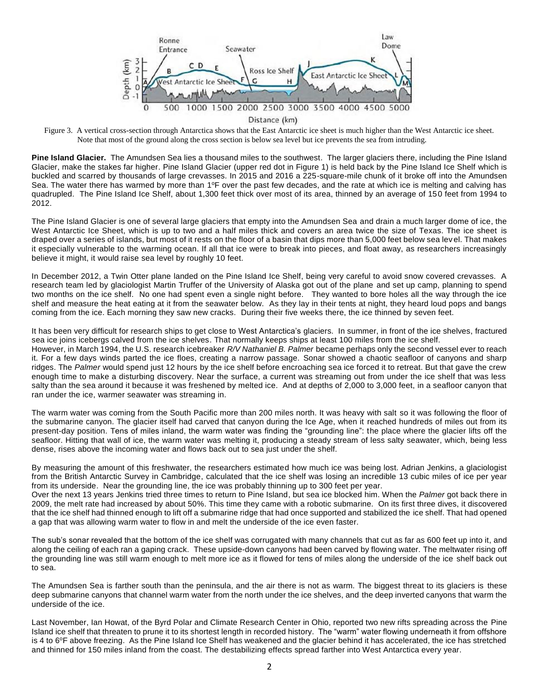

Distance (km)

Figure 3. A vertical cross-section through Antarctica shows that the East Antarctic ice sheet is much higher than the West Antarctic ice sheet. Note that most of the ground along the cross section is below sea level but ice prevents the sea from intruding.

**Pine Island Glacier.** The Amundsen Sea lies a thousand miles to the southwest. The larger glaciers there, including the Pine Island Glacier, make the stakes far higher. Pine Island Glacier (upper red dot in Figure 1) is held back by the Pine Island Ice Shelf which is buckled and scarred by thousands of large crevasses. In 2015 and 2016 a 225-square-mile chunk of it broke off into the Amundsen Sea. The water there has warmed by more than 1°F over the past few decades, and the rate at which ice is melting and calving has quadrupled. The Pine Island Ice Shelf, about 1,300 feet thick over most of its area, thinned by an average of 150 feet from 1994 to 2012.

The Pine Island Glacier is one of several large glaciers that empty into the Amundsen Sea and drain a much larger dome of ice, the West Antarctic Ice Sheet, which is up to two and a half miles thick and covers an area twice the size of Texas. The ice sheet is draped over a series of islands, but most of it rests on the floor of a basin that dips more than 5,000 feet below sea level. That makes it especially vulnerable to the warming ocean. If all that ice were to break into pieces, and float away, as researchers increasingly believe it might, it would raise sea level by roughly 10 feet.

In December 2012, a Twin Otter plane landed on the Pine Island Ice Shelf, being very careful to avoid snow covered crevasses. A research team led by glaciologist Martin Truffer of the University of Alaska got out of the plane and set up camp, planning to spend two months on the ice shelf. No one had spent even a single night before. They wanted to bore holes all the way through the ice shelf and measure the heat eating at it from the seawater below. As they lay in their tents at night, they heard loud pops and bangs coming from the ice. Each morning they saw new cracks. During their five weeks there, the ice thinned by seven feet.

It has been very difficult for research ships to get close to West Antarctica's glaciers. In summer, in front of the ice shelves, fractured sea ice joins icebergs calved from the ice shelves. That normally keeps ships at least 100 miles from the ice shelf.

However, in March 1994, the U.S. research icebreaker *R/V Nathaniel B. Palmer* became perhaps only the second vessel ever to reach it. For a few days winds parted the ice floes, creating a narrow passage. Sonar showed a chaotic seafloor of canyons and sharp ridges. The *Palmer* would spend just 12 hours by the ice shelf before encroaching sea ice forced it to retreat. But that gave the crew enough time to make a disturbing discovery. Near the surface, a current was streaming out from under the ice shelf that was less salty than the sea around it because it was freshened by melted ice. And at depths of 2,000 to 3,000 feet, in a seafloor canyon that ran under the ice, warmer seawater was streaming in.

The warm water was coming from the South Pacific more than 200 miles north. It was heavy with salt so it was following the floor of the submarine canyon. The glacier itself had carved that canyon during the Ice Age, when it reached hundreds of miles out from its present-day position. Tens of miles inland, the warm water was finding the "grounding line": the place where the glacier lifts off the seafloor. Hitting that wall of ice, the warm water was melting it, producing a steady stream of less salty seawater, which, being less dense, rises above the incoming water and flows back out to sea just under the shelf.

By measuring the amount of this freshwater, the researchers estimated how much ice was being lost. Adrian Jenkins, a glaciologist from the British Antarctic Survey in Cambridge, calculated that the ice shelf was losing an incredible 13 cubic miles of ice per year from its underside. Near the grounding line, the ice was probably thinning up to 300 feet per year.

Over the next 13 years Jenkins tried three times to return to Pine Island, but sea ice blocked him. When the *Palmer* got back there in 2009, the melt rate had increased by about 50%. This time they came with a robotic submarine*.* On its first three dives, it discovered that the ice shelf had thinned enough to lift off a submarine ridge that had once supported and stabilized the ice shelf. That had opened a gap that was allowing warm water to flow in and melt the underside of the ice even faster.

The sub's sonar revealed that the bottom of the ice shelf was corrugated with many channels that cut as far as 600 feet up into it, and along the ceiling of each ran a gaping crack. These upside-down canyons had been carved by flowing water. The meltwater rising off the grounding line was still warm enough to melt more ice as it flowed for tens of miles along the underside of the ice shelf back out to sea.

The Amundsen Sea is farther south than the peninsula, and the air there is not as warm. The biggest threat to its glaciers is these deep submarine canyons that channel warm water from the north under the ice shelves, and the deep inverted canyons that warm the underside of the ice.

Last November, Ian Howat, of the Byrd Polar and Climate Research Center in Ohio, reported two new rifts spreading across the Pine Island ice shelf that threaten to prune it to its shortest length in recorded history. The "warm" water flowing underneath it from offshore is 4 to 6°F above freezing. As the Pine Island Ice Shelf has weakened and the glacier behind it has accelerated, the ice has stretched and thinned for 150 miles inland from the coast. The destabilizing effects spread farther into West Antarctica every year.